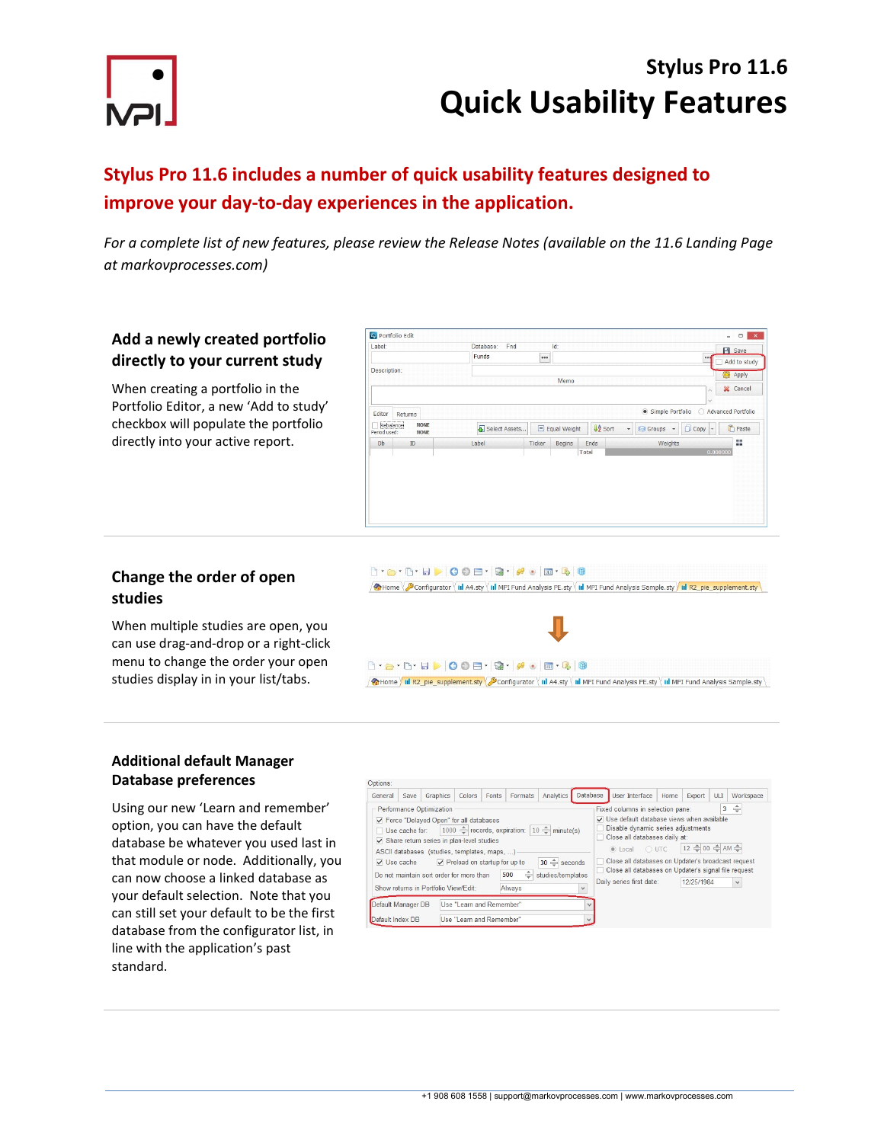

# Stylus Pro 11.6 Quick Usability Features

## Stylus Pro 11.6 includes a number of quick usability features designed to improve your day-to-day experiences in the application.

For a complete list of new features, please review the Release Notes (available on the 11.6 Landing Page at markovprocesses.com)

### Add a newly created portfolio directly to your current study

When creating a portfolio in the Portfolio Editor, a new 'Add to study' checkbox will populate the portfolio directly into your active report.

| Funds<br><br>Description:<br><b>卷</b> Apply<br>Memo<br><b>X</b> Cancel<br>۸<br>$\vee$<br>Simple Portfolio<br>○ Advanced Portfolio<br>Returns<br>Rebalance<br><b>NONE</b><br>$\downarrow$<br><b>JA</b> Sort<br>Select Assets<br>$\Box$ Copy<br>$\Box$ Equal Weight<br>Groups +<br>l v<br>Period used:<br><b>NONE</b><br>韻<br>Weights<br>Label<br>Ticker<br>Begins<br>Ends<br>Db<br>ID | Label: | Fnd<br>Database: | $Id$ : |  |  | $H$ Save     |
|--------------------------------------------------------------------------------------------------------------------------------------------------------------------------------------------------------------------------------------------------------------------------------------------------------------------------------------------------------------------------------------|--------|------------------|--------|--|--|--------------|
|                                                                                                                                                                                                                                                                                                                                                                                      |        |                  |        |  |  | Add to study |
|                                                                                                                                                                                                                                                                                                                                                                                      |        |                  |        |  |  |              |
|                                                                                                                                                                                                                                                                                                                                                                                      |        |                  |        |  |  |              |
|                                                                                                                                                                                                                                                                                                                                                                                      |        |                  |        |  |  |              |
|                                                                                                                                                                                                                                                                                                                                                                                      | Editor |                  |        |  |  |              |
|                                                                                                                                                                                                                                                                                                                                                                                      |        |                  |        |  |  | Paste        |
|                                                                                                                                                                                                                                                                                                                                                                                      |        |                  |        |  |  |              |
| 0.000000<br>Total                                                                                                                                                                                                                                                                                                                                                                    |        |                  |        |  |  |              |
|                                                                                                                                                                                                                                                                                                                                                                                      |        |                  |        |  |  |              |
|                                                                                                                                                                                                                                                                                                                                                                                      |        |                  |        |  |  |              |
|                                                                                                                                                                                                                                                                                                                                                                                      |        |                  |        |  |  |              |

### Change the order of open studies

When multiple studies are open, you can use drag-and-drop or a right-click menu to change the order your open studies display in in your list/tabs.



Home ill R2\_pie\_supplement.sty Sconfigurator ill A4.sty ill MPI Fund Analysis PE.sty ill MPI Fund Analysis Sample.sty

#### Additional default Manager Database preferences

Using our new 'Learn and remember' option, you can have the default database be whatever you used last in that module or node. Additionally, you can now choose a linked database as your default selection. Note that you can still set your default to be the first database from the configurator list, in line with the application's past standard.